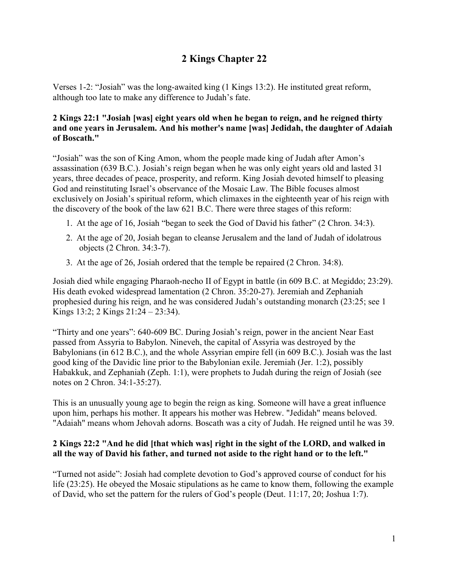# **2 Kings Chapter 22**

Verses 1-2: "Josiah" was the long-awaited king (1 Kings 13:2). He instituted great reform, although too late to make any difference to Judah's fate.

# **2 Kings 22:1 "Josiah [was] eight years old when he began to reign, and he reigned thirty and one years in Jerusalem. And his mother's name [was] Jedidah, the daughter of Adaiah of Boscath."**

"Josiah" was the son of King Amon, whom the people made king of Judah after Amon's assassination (639 B.C.). Josiah's reign began when he was only eight years old and lasted 31 years, three decades of peace, prosperity, and reform. King Josiah devoted himself to pleasing God and reinstituting Israel's observance of the Mosaic Law. The Bible focuses almost exclusively on Josiah's spiritual reform, which climaxes in the eighteenth year of his reign with the discovery of the book of the law 621 B.C. There were three stages of this reform:

- 1. At the age of 16, Josiah "began to seek the God of David his father" (2 Chron. 34:3).
- 2. At the age of 20, Josiah began to cleanse Jerusalem and the land of Judah of idolatrous objects (2 Chron. 34:3-7).
- 3. At the age of 26, Josiah ordered that the temple be repaired (2 Chron. 34:8).

Josiah died while engaging Pharaoh-necho II of Egypt in battle (in 609 B.C. at Megiddo; 23:29). His death evoked widespread lamentation (2 Chron. 35:20-27). Jeremiah and Zephaniah prophesied during his reign, and he was considered Judah's outstanding monarch (23:25; see 1 Kings 13:2; 2 Kings 21:24 – 23:34).

"Thirty and one years": 640-609 BC. During Josiah's reign, power in the ancient Near East passed from Assyria to Babylon. Nineveh, the capital of Assyria was destroyed by the Babylonians (in 612 B.C.), and the whole Assyrian empire fell (in 609 B.C.). Josiah was the last good king of the Davidic line prior to the Babylonian exile. Jeremiah (Jer. 1:2), possibly Habakkuk, and Zephaniah (Zeph. 1:1), were prophets to Judah during the reign of Josiah (see notes on 2 Chron. 34:1-35:27).

This is an unusually young age to begin the reign as king. Someone will have a great influence upon him, perhaps his mother. It appears his mother was Hebrew. "Jedidah" means beloved. "Adaiah" means whom Jehovah adorns. Boscath was a city of Judah. He reigned until he was 39.

# **2 Kings 22:2 "And he did [that which was] right in the sight of the LORD, and walked in all the way of David his father, and turned not aside to the right hand or to the left."**

"Turned not aside": Josiah had complete devotion to God's approved course of conduct for his life (23:25). He obeyed the Mosaic stipulations as he came to know them, following the example of David, who set the pattern for the rulers of God's people (Deut. 11:17, 20; Joshua 1:7).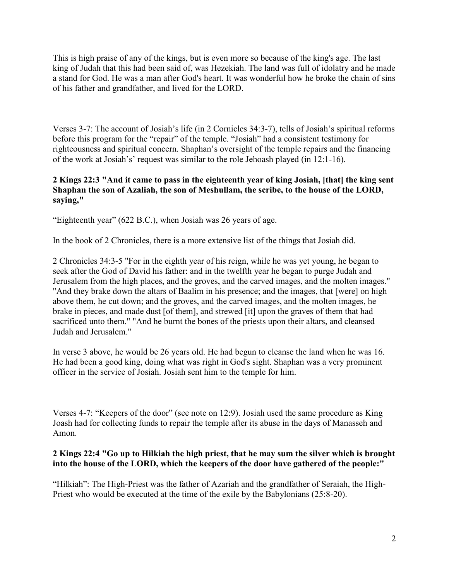This is high praise of any of the kings, but is even more so because of the king's age. The last king of Judah that this had been said of, was Hezekiah. The land was full of idolatry and he made a stand for God. He was a man after God's heart. It was wonderful how he broke the chain of sins of his father and grandfather, and lived for the LORD.

Verses 3-7: The account of Josiah's life (in 2 Cornicles 34:3-7), tells of Josiah's spiritual reforms before this program for the "repair" of the temple. "Josiah" had a consistent testimony for righteousness and spiritual concern. Shaphan's oversight of the temple repairs and the financing of the work at Josiah's' request was similar to the role Jehoash played (in 12:1-16).

# **2 Kings 22:3 "And it came to pass in the eighteenth year of king Josiah, [that] the king sent Shaphan the son of Azaliah, the son of Meshullam, the scribe, to the house of the LORD, saying,"**

"Eighteenth year" (622 B.C.), when Josiah was 26 years of age.

In the book of 2 Chronicles, there is a more extensive list of the things that Josiah did.

2 Chronicles 34:3-5 "For in the eighth year of his reign, while he was yet young, he began to seek after the God of David his father: and in the twelfth year he began to purge Judah and Jerusalem from the high places, and the groves, and the carved images, and the molten images." "And they brake down the altars of Baalim in his presence; and the images, that [were] on high above them, he cut down; and the groves, and the carved images, and the molten images, he brake in pieces, and made dust [of them], and strewed [it] upon the graves of them that had sacrificed unto them." "And he burnt the bones of the priests upon their altars, and cleansed Judah and Jerusalem."

In verse 3 above, he would be 26 years old. He had begun to cleanse the land when he was 16. He had been a good king, doing what was right in God's sight. Shaphan was a very prominent officer in the service of Josiah. Josiah sent him to the temple for him.

Verses 4-7: "Keepers of the door" (see note on 12:9). Josiah used the same procedure as King Joash had for collecting funds to repair the temple after its abuse in the days of Manasseh and Amon.

# **2 Kings 22:4 "Go up to Hilkiah the high priest, that he may sum the silver which is brought into the house of the LORD, which the keepers of the door have gathered of the people:"**

"Hilkiah": The High-Priest was the father of Azariah and the grandfather of Seraiah, the High-Priest who would be executed at the time of the exile by the Babylonians (25:8-20).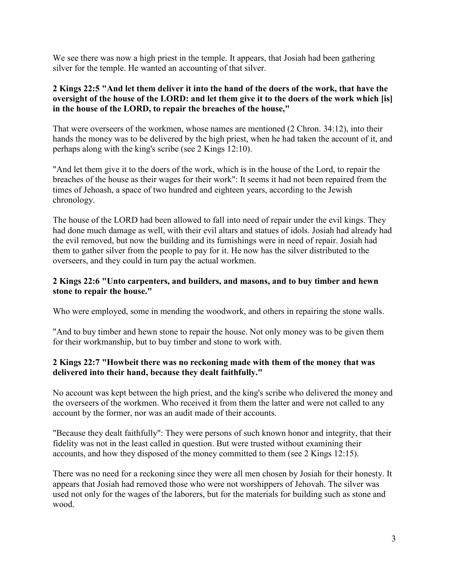We see there was now a high priest in the temple. It appears, that Josiah had been gathering silver for the temple. He wanted an accounting of that silver.

# **2 Kings 22:5 "And let them deliver it into the hand of the doers of the work, that have the oversight of the house of the LORD: and let them give it to the doers of the work which [is] in the house of the LORD, to repair the breaches of the house,"**

That were overseers of the workmen, whose names are mentioned (2 Chron. 34:12), into their hands the money was to be delivered by the high priest, when he had taken the account of it, and perhaps along with the king's scribe (see 2 Kings 12:10).

"And let them give it to the doers of the work, which is in the house of the Lord, to repair the breaches of the house as their wages for their work": It seems it had not been repaired from the times of Jehoash, a space of two hundred and eighteen years, according to the Jewish chronology.

The house of the LORD had been allowed to fall into need of repair under the evil kings. They had done much damage as well, with their evil altars and statues of idols. Josiah had already had the evil removed, but now the building and its furnishings were in need of repair. Josiah had them to gather silver from the people to pay for it. He now has the silver distributed to the overseers, and they could in turn pay the actual workmen.

#### **2 Kings 22:6 "Unto carpenters, and builders, and masons, and to buy timber and hewn stone to repair the house."**

Who were employed, some in mending the woodwork, and others in repairing the stone walls.

"And to buy timber and hewn stone to repair the house. Not only money was to be given them for their workmanship, but to buy timber and stone to work with.

# **2 Kings 22:7 "Howbeit there was no reckoning made with them of the money that was delivered into their hand, because they dealt faithfully."**

No account was kept between the high priest, and the king's scribe who delivered the money and the overseers of the workmen. Who received it from them the latter and were not called to any account by the former, nor was an audit made of their accounts.

"Because they dealt faithfully": They were persons of such known honor and integrity, that their fidelity was not in the least called in question. But were trusted without examining their accounts, and how they disposed of the money committed to them (see 2 Kings 12:15).

There was no need for a reckoning since they were all men chosen by Josiah for their honesty. It appears that Josiah had removed those who were not worshippers of Jehovah. The silver was used not only for the wages of the laborers, but for the materials for building such as stone and wood.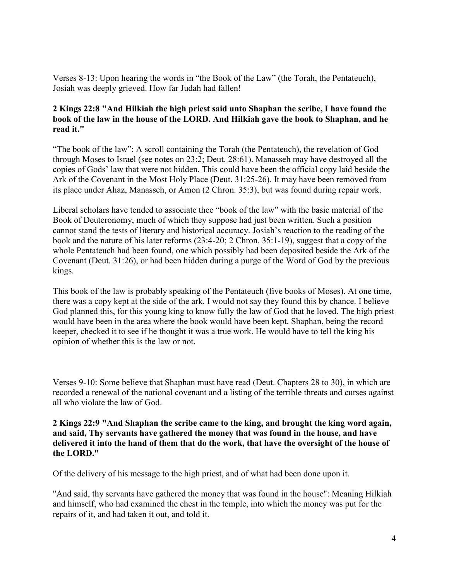Verses 8-13: Upon hearing the words in "the Book of the Law" (the Torah, the Pentateuch), Josiah was deeply grieved. How far Judah had fallen!

# **2 Kings 22:8 "And Hilkiah the high priest said unto Shaphan the scribe, I have found the book of the law in the house of the LORD. And Hilkiah gave the book to Shaphan, and he read it."**

"The book of the law": A scroll containing the Torah (the Pentateuch), the revelation of God through Moses to Israel (see notes on 23:2; Deut. 28:61). Manasseh may have destroyed all the copies of Gods' law that were not hidden. This could have been the official copy laid beside the Ark of the Covenant in the Most Holy Place (Deut. 31:25-26). It may have been removed from its place under Ahaz, Manasseh, or Amon (2 Chron. 35:3), but was found during repair work.

Liberal scholars have tended to associate thee "book of the law" with the basic material of the Book of Deuteronomy, much of which they suppose had just been written. Such a position cannot stand the tests of literary and historical accuracy. Josiah's reaction to the reading of the book and the nature of his later reforms (23:4-20; 2 Chron. 35:1-19), suggest that a copy of the whole Pentateuch had been found, one which possibly had been deposited beside the Ark of the Covenant (Deut. 31:26), or had been hidden during a purge of the Word of God by the previous kings.

This book of the law is probably speaking of the Pentateuch (five books of Moses). At one time, there was a copy kept at the side of the ark. I would not say they found this by chance. I believe God planned this, for this young king to know fully the law of God that he loved. The high priest would have been in the area where the book would have been kept. Shaphan, being the record keeper, checked it to see if he thought it was a true work. He would have to tell the king his opinion of whether this is the law or not.

Verses 9-10: Some believe that Shaphan must have read (Deut. Chapters 28 to 30), in which are recorded a renewal of the national covenant and a listing of the terrible threats and curses against all who violate the law of God.

**2 Kings 22:9 "And Shaphan the scribe came to the king, and brought the king word again, and said, Thy servants have gathered the money that was found in the house, and have delivered it into the hand of them that do the work, that have the oversight of the house of the LORD."**

Of the delivery of his message to the high priest, and of what had been done upon it.

"And said, thy servants have gathered the money that was found in the house": Meaning Hilkiah and himself, who had examined the chest in the temple, into which the money was put for the repairs of it, and had taken it out, and told it.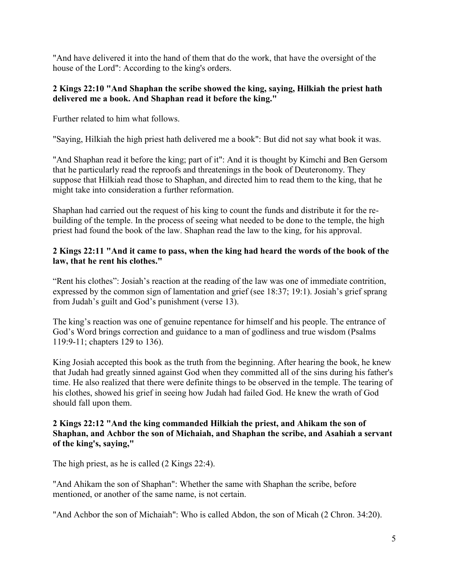"And have delivered it into the hand of them that do the work, that have the oversight of the house of the Lord": According to the king's orders.

## **2 Kings 22:10 "And Shaphan the scribe showed the king, saying, Hilkiah the priest hath delivered me a book. And Shaphan read it before the king."**

Further related to him what follows.

"Saying, Hilkiah the high priest hath delivered me a book": But did not say what book it was.

"And Shaphan read it before the king; part of it": And it is thought by Kimchi and Ben Gersom that he particularly read the reproofs and threatenings in the book of Deuteronomy. They suppose that Hilkiah read those to Shaphan, and directed him to read them to the king, that he might take into consideration a further reformation.

Shaphan had carried out the request of his king to count the funds and distribute it for the rebuilding of the temple. In the process of seeing what needed to be done to the temple, the high priest had found the book of the law. Shaphan read the law to the king, for his approval.

# **2 Kings 22:11 "And it came to pass, when the king had heard the words of the book of the law, that he rent his clothes."**

"Rent his clothes": Josiah's reaction at the reading of the law was one of immediate contrition, expressed by the common sign of lamentation and grief (see 18:37; 19:1). Josiah's grief sprang from Judah's guilt and God's punishment (verse 13).

The king's reaction was one of genuine repentance for himself and his people. The entrance of God's Word brings correction and guidance to a man of godliness and true wisdom (Psalms 119:9-11; chapters 129 to 136).

King Josiah accepted this book as the truth from the beginning. After hearing the book, he knew that Judah had greatly sinned against God when they committed all of the sins during his father's time. He also realized that there were definite things to be observed in the temple. The tearing of his clothes, showed his grief in seeing how Judah had failed God. He knew the wrath of God should fall upon them.

### **2 Kings 22:12 "And the king commanded Hilkiah the priest, and Ahikam the son of Shaphan, and Achbor the son of Michaiah, and Shaphan the scribe, and Asahiah a servant of the king's, saying,"**

The high priest, as he is called (2 Kings 22:4).

"And Ahikam the son of Shaphan": Whether the same with Shaphan the scribe, before mentioned, or another of the same name, is not certain.

"And Achbor the son of Michaiah": Who is called Abdon, the son of Micah (2 Chron. 34:20).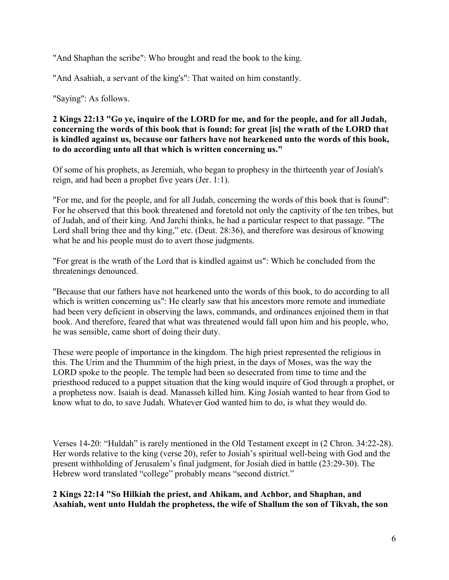"And Shaphan the scribe": Who brought and read the book to the king.

"And Asahiah, a servant of the king's": That waited on him constantly.

"Saying": As follows.

#### **2 Kings 22:13 "Go ye, inquire of the LORD for me, and for the people, and for all Judah, concerning the words of this book that is found: for great [is] the wrath of the LORD that is kindled against us, because our fathers have not hearkened unto the words of this book, to do according unto all that which is written concerning us."**

Of some of his prophets, as Jeremiah, who began to prophesy in the thirteenth year of Josiah's reign, and had been a prophet five years (Jer. 1:1).

"For me, and for the people, and for all Judah, concerning the words of this book that is found": For he observed that this book threatened and foretold not only the captivity of the ten tribes, but of Judah, and of their king. And Jarchi thinks, he had a particular respect to that passage. "The Lord shall bring thee and thy king," etc. (Deut. 28:36), and therefore was desirous of knowing what he and his people must do to avert those judgments.

"For great is the wrath of the Lord that is kindled against us": Which he concluded from the threatenings denounced.

"Because that our fathers have not hearkened unto the words of this book, to do according to all which is written concerning us": He clearly saw that his ancestors more remote and immediate had been very deficient in observing the laws, commands, and ordinances enjoined them in that book. And therefore, feared that what was threatened would fall upon him and his people, who, he was sensible, came short of doing their duty.

These were people of importance in the kingdom. The high priest represented the religious in this. The Urim and the Thummim of the high priest, in the days of Moses, was the way the LORD spoke to the people. The temple had been so desecrated from time to time and the priesthood reduced to a puppet situation that the king would inquire of God through a prophet, or a prophetess now. Isaiah is dead. Manasseh killed him. King Josiah wanted to hear from God to know what to do, to save Judah. Whatever God wanted him to do, is what they would do.

Verses 14-20: "Huldah" is rarely mentioned in the Old Testament except in (2 Chron. 34:22-28). Her words relative to the king (verse 20), refer to Josiah's spiritual well-being with God and the present withholding of Jerusalem's final judgment, for Josiah died in battle (23:29-30). The Hebrew word translated "college" probably means "second district."

**2 Kings 22:14 "So Hilkiah the priest, and Ahikam, and Achbor, and Shaphan, and Asahiah, went unto Huldah the prophetess, the wife of Shallum the son of Tikvah, the son**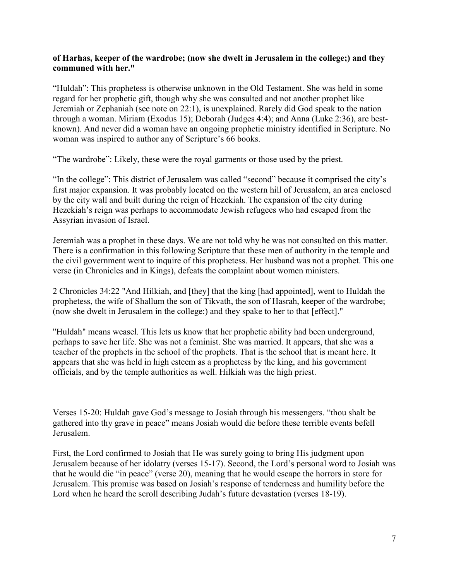#### **of Harhas, keeper of the wardrobe; (now she dwelt in Jerusalem in the college;) and they communed with her."**

"Huldah": This prophetess is otherwise unknown in the Old Testament. She was held in some regard for her prophetic gift, though why she was consulted and not another prophet like Jeremiah or Zephaniah (see note on 22:1), is unexplained. Rarely did God speak to the nation through a woman. Miriam (Exodus 15); Deborah (Judges 4:4); and Anna (Luke 2:36), are bestknown). And never did a woman have an ongoing prophetic ministry identified in Scripture. No woman was inspired to author any of Scripture's 66 books.

"The wardrobe": Likely, these were the royal garments or those used by the priest.

"In the college": This district of Jerusalem was called "second" because it comprised the city's first major expansion. It was probably located on the western hill of Jerusalem, an area enclosed by the city wall and built during the reign of Hezekiah. The expansion of the city during Hezekiah's reign was perhaps to accommodate Jewish refugees who had escaped from the Assyrian invasion of Israel.

Jeremiah was a prophet in these days. We are not told why he was not consulted on this matter. There is a confirmation in this following Scripture that these men of authority in the temple and the civil government went to inquire of this prophetess. Her husband was not a prophet. This one verse (in Chronicles and in Kings), defeats the complaint about women ministers.

2 Chronicles 34:22 "And Hilkiah, and [they] that the king [had appointed], went to Huldah the prophetess, the wife of Shallum the son of Tikvath, the son of Hasrah, keeper of the wardrobe; (now she dwelt in Jerusalem in the college:) and they spake to her to that [effect]."

"Huldah" means weasel. This lets us know that her prophetic ability had been underground, perhaps to save her life. She was not a feminist. She was married. It appears, that she was a teacher of the prophets in the school of the prophets. That is the school that is meant here. It appears that she was held in high esteem as a prophetess by the king, and his government officials, and by the temple authorities as well. Hilkiah was the high priest.

Verses 15-20: Huldah gave God's message to Josiah through his messengers. "thou shalt be gathered into thy grave in peace" means Josiah would die before these terrible events befell Jerusalem.

First, the Lord confirmed to Josiah that He was surely going to bring His judgment upon Jerusalem because of her idolatry (verses 15-17). Second, the Lord's personal word to Josiah was that he would die "in peace" (verse 20), meaning that he would escape the horrors in store for Jerusalem. This promise was based on Josiah's response of tenderness and humility before the Lord when he heard the scroll describing Judah's future devastation (verses 18-19).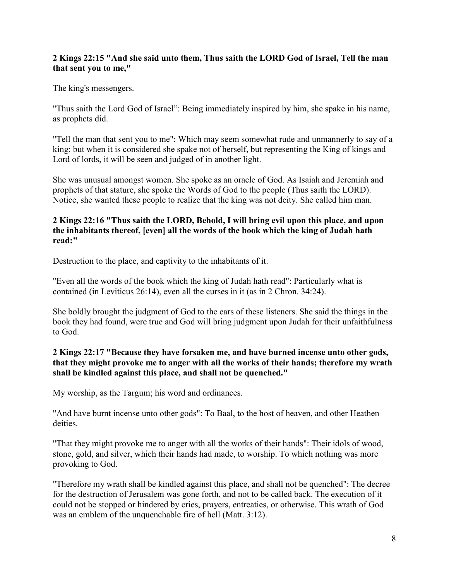# **2 Kings 22:15 "And she said unto them, Thus saith the LORD God of Israel, Tell the man that sent you to me,"**

The king's messengers.

"Thus saith the Lord God of Israel": Being immediately inspired by him, she spake in his name, as prophets did.

"Tell the man that sent you to me": Which may seem somewhat rude and unmannerly to say of a king; but when it is considered she spake not of herself, but representing the King of kings and Lord of lords, it will be seen and judged of in another light.

She was unusual amongst women. She spoke as an oracle of God. As Isaiah and Jeremiah and prophets of that stature, she spoke the Words of God to the people (Thus saith the LORD). Notice, she wanted these people to realize that the king was not deity. She called him man.

#### **2 Kings 22:16 "Thus saith the LORD, Behold, I will bring evil upon this place, and upon the inhabitants thereof, [even] all the words of the book which the king of Judah hath read:"**

Destruction to the place, and captivity to the inhabitants of it.

"Even all the words of the book which the king of Judah hath read": Particularly what is contained (in Leviticus 26:14), even all the curses in it (as in 2 Chron. 34:24).

She boldly brought the judgment of God to the ears of these listeners. She said the things in the book they had found, were true and God will bring judgment upon Judah for their unfaithfulness to God.

# **2 Kings 22:17 "Because they have forsaken me, and have burned incense unto other gods, that they might provoke me to anger with all the works of their hands; therefore my wrath shall be kindled against this place, and shall not be quenched."**

My worship, as the Targum; his word and ordinances.

"And have burnt incense unto other gods": To Baal, to the host of heaven, and other Heathen deities.

"That they might provoke me to anger with all the works of their hands": Their idols of wood, stone, gold, and silver, which their hands had made, to worship. To which nothing was more provoking to God.

"Therefore my wrath shall be kindled against this place, and shall not be quenched": The decree for the destruction of Jerusalem was gone forth, and not to be called back. The execution of it could not be stopped or hindered by cries, prayers, entreaties, or otherwise. This wrath of God was an emblem of the unquenchable fire of hell (Matt. 3:12).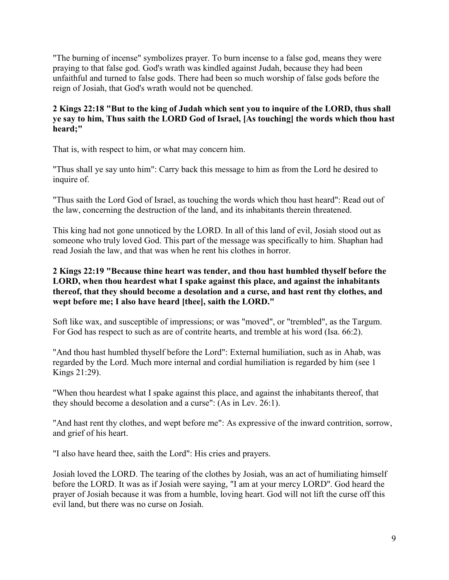"The burning of incense" symbolizes prayer. To burn incense to a false god, means they were praying to that false god. God's wrath was kindled against Judah, because they had been unfaithful and turned to false gods. There had been so much worship of false gods before the reign of Josiah, that God's wrath would not be quenched.

# **2 Kings 22:18 "But to the king of Judah which sent you to inquire of the LORD, thus shall ye say to him, Thus saith the LORD God of Israel, [As touching] the words which thou hast heard;"**

That is, with respect to him, or what may concern him.

"Thus shall ye say unto him": Carry back this message to him as from the Lord he desired to inquire of.

"Thus saith the Lord God of Israel, as touching the words which thou hast heard": Read out of the law, concerning the destruction of the land, and its inhabitants therein threatened.

This king had not gone unnoticed by the LORD. In all of this land of evil, Josiah stood out as someone who truly loved God. This part of the message was specifically to him. Shaphan had read Josiah the law, and that was when he rent his clothes in horror.

# **2 Kings 22:19 "Because thine heart was tender, and thou hast humbled thyself before the LORD, when thou heardest what I spake against this place, and against the inhabitants thereof, that they should become a desolation and a curse, and hast rent thy clothes, and wept before me; I also have heard [thee], saith the LORD."**

Soft like wax, and susceptible of impressions; or was "moved", or "trembled", as the Targum. For God has respect to such as are of contrite hearts, and tremble at his word (Isa. 66:2).

"And thou hast humbled thyself before the Lord": External humiliation, such as in Ahab, was regarded by the Lord. Much more internal and cordial humiliation is regarded by him (see 1 Kings 21:29).

"When thou heardest what I spake against this place, and against the inhabitants thereof, that they should become a desolation and a curse": (As in Lev. 26:1).

"And hast rent thy clothes, and wept before me": As expressive of the inward contrition, sorrow, and grief of his heart.

"I also have heard thee, saith the Lord": His cries and prayers.

Josiah loved the LORD. The tearing of the clothes by Josiah, was an act of humiliating himself before the LORD. It was as if Josiah were saying, "I am at your mercy LORD". God heard the prayer of Josiah because it was from a humble, loving heart. God will not lift the curse off this evil land, but there was no curse on Josiah.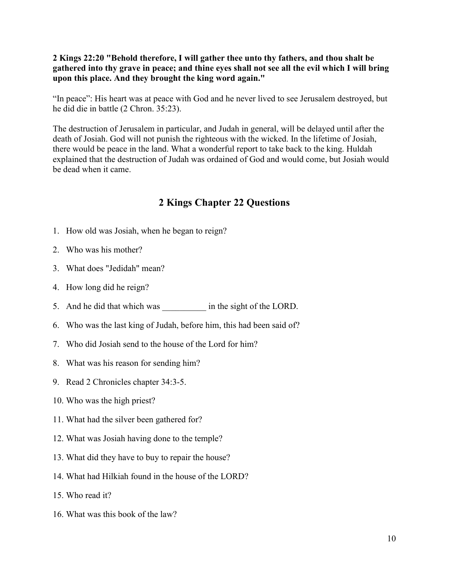### **2 Kings 22:20 "Behold therefore, I will gather thee unto thy fathers, and thou shalt be gathered into thy grave in peace; and thine eyes shall not see all the evil which I will bring upon this place. And they brought the king word again."**

"In peace": His heart was at peace with God and he never lived to see Jerusalem destroyed, but he did die in battle (2 Chron. 35:23).

The destruction of Jerusalem in particular, and Judah in general, will be delayed until after the death of Josiah. God will not punish the righteous with the wicked. In the lifetime of Josiah, there would be peace in the land. What a wonderful report to take back to the king. Huldah explained that the destruction of Judah was ordained of God and would come, but Josiah would be dead when it came.

# **2 Kings Chapter 22 Questions**

- 1. How old was Josiah, when he began to reign?
- 2. Who was his mother?
- 3. What does "Jedidah" mean?
- 4. How long did he reign?
- 5. And he did that which was  $\frac{1}{2}$  in the sight of the LORD.
- 6. Who was the last king of Judah, before him, this had been said of?
- 7. Who did Josiah send to the house of the Lord for him?
- 8. What was his reason for sending him?
- 9. Read 2 Chronicles chapter 34:3-5.
- 10. Who was the high priest?
- 11. What had the silver been gathered for?
- 12. What was Josiah having done to the temple?
- 13. What did they have to buy to repair the house?
- 14. What had Hilkiah found in the house of the LORD?
- 15. Who read it?
- 16. What was this book of the law?